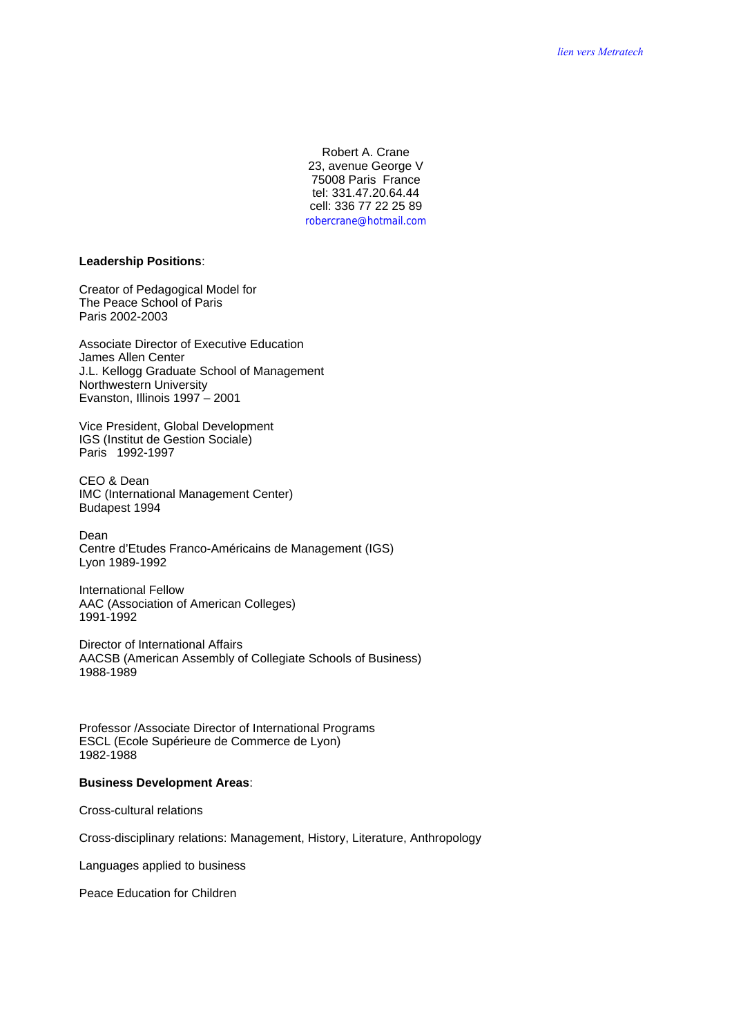Robert A. Crane 23, avenue George V 75008 Paris France tel: 331.47.20.64.44 cell: 336 77 22 25 89 robercrane@hotmail.com

### **Leadership Positions**:

Creator of Pedagogical Model for The Peace School of Paris Paris 2002-2003

Associate Director of Executive Education James Allen Center J.L. Kellogg Graduate School of Management Northwestern University Evanston, Illinois 1997 – 2001

Vice President, Global Development IGS (Institut de Gestion Sociale) Paris 1992-1997

CEO & Dean IMC (International Management Center) Budapest 1994

Dean Centre d'Etudes Franco-Américains de Management (IGS) Lyon 1989-1992

International Fellow AAC (Association of American Colleges) 1991-1992

Director of International Affairs AACSB (American Assembly of Collegiate Schools of Business) 1988-1989

Professor /Associate Director of International Programs ESCL (Ecole Supérieure de Commerce de Lyon) 1982-1988

### **Business Development Areas**:

Cross-cultural relations

Cross-disciplinary relations: Management, History, Literature, Anthropology

Languages applied to business

Peace Education for Children